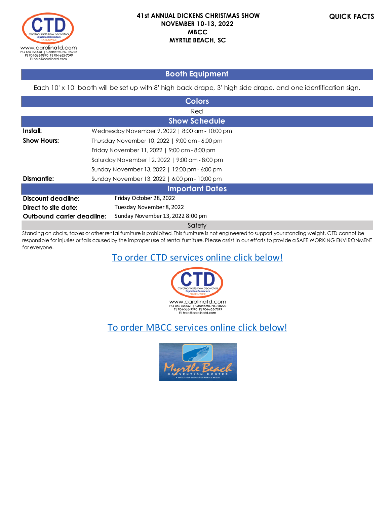

## **Booth Equipment**

Each 10' x 10' booth will be set up with 8' high back drape, 3' high side drape, and one identification sign.

| <b>Colors</b>                                               |                                                |  |  |  |  |
|-------------------------------------------------------------|------------------------------------------------|--|--|--|--|
|                                                             | Red                                            |  |  |  |  |
|                                                             | <b>Show Schedule</b>                           |  |  |  |  |
| Install:<br>Wednesday November 9, 2022   8:00 am - 10:00 pm |                                                |  |  |  |  |
| <b>Show Hours:</b>                                          | Thursday November 10, 2022   9:00 am - 6:00 pm |  |  |  |  |
|                                                             | Friday November 11, 2022   9:00 am - 8:00 pm   |  |  |  |  |
|                                                             | Saturday November 12, 2022   9:00 am - 8:00 pm |  |  |  |  |
|                                                             | Sunday November 13, 2022   12:00 pm - 6:00 pm  |  |  |  |  |
| <b>Dismantle:</b>                                           | Sunday November 13, 2022   6:00 pm - 10:00 pm  |  |  |  |  |
|                                                             | <b>Important Dates</b>                         |  |  |  |  |
| Discount deadline:                                          | Friday October 28, 2022                        |  |  |  |  |
| Direct to site date:                                        | Tuesday November 8, 2022                       |  |  |  |  |
| Outbound carrier deadline:                                  | Sunday November 13, 2022 8:00 pm               |  |  |  |  |
| Safety                                                      |                                                |  |  |  |  |

Standing on chairs, tables or other rental furniture is prohibited. This furniture is not engineered to support your standing weight. CTD cannot be responsible for injuries or falls caused by the improper use of rental furniture. Please assist in our efforts to provide a SAFE WORKING ENVIRONMENT for everyone.

## To order CTD services online click below!



# To order MBCC services online click below!

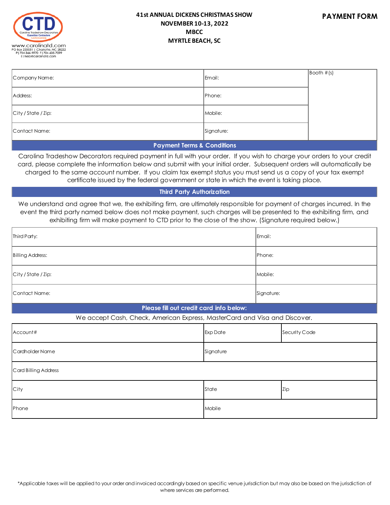

| Company Name:       | Email:     | $\sqrt{\text{Booth}}$ # (s) |
|---------------------|------------|-----------------------------|
| Address:            | Phone:     |                             |
| City / State / Zip: | Mobile:    |                             |
| Contact Name:       | Signature: |                             |

#### **Payment Terms & Conditions**

Carolina Tradeshow Decorators required payment in full with your order. If you wish to charge your orders to your credit card, please complete the information below and submit with your initial order. Subsequent orders will automatically be charged to the same account number. If you claim tax exempt status you must send us a copy of your tax exempt certificate issued by the federal government or state in which the event is taking place.

#### **Third Party Authorization**

We understand and agree that we, the exhibiting firm, are ultimately responsible for payment of charges incurred. In the event the third party named below does not make payment, such charges will be presented to the exhibiting firm, and exhibiting firm will make payment to CTD prior to the close of the show. (Signature required below.)

| Third Party:        | Email:     |
|---------------------|------------|
| Billing Address:    | Phone:     |
| City / State / Zip: | Mobile:    |
| Contact Name:       | Signature: |

#### **Please fill out credit card info below:**

#### We accept Cash, Check, American Express, MasterCard and Visa and Discover.

| Account#             | <b>Exp Date</b> | Security Code |  |  |  |
|----------------------|-----------------|---------------|--|--|--|
| Cardholder Name      | Signature       |               |  |  |  |
| Card Billing Address |                 |               |  |  |  |
| City                 | State           | Zip           |  |  |  |
| Phone                | Mobile          |               |  |  |  |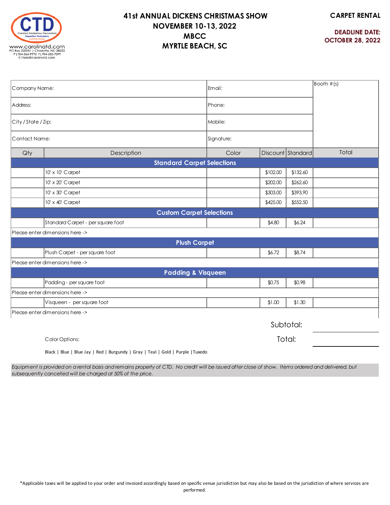

**CARPET RENTAL**

**DEADLINE DATE: OCTOBER 28, 2022**

| Company Name:                                                                |                                   | Email:     |          |                   | $\sqrt{$ Booth $\#(s)$ |  |
|------------------------------------------------------------------------------|-----------------------------------|------------|----------|-------------------|------------------------|--|
| Address:                                                                     |                                   | Phone:     |          |                   |                        |  |
| City / State / Zip:                                                          |                                   | Mobile:    |          |                   |                        |  |
| Contact Name:                                                                |                                   | Signature: |          |                   |                        |  |
| Qty                                                                          | Description                       | Color      |          | Discount Standard | Total                  |  |
|                                                                              | <b>Standard Carpet Selections</b> |            |          |                   |                        |  |
|                                                                              | 10' x 10' Carpet                  |            | \$102.00 | \$132.60          |                        |  |
|                                                                              | 10' x 20' Carpet                  |            | \$202.00 | \$262.60          |                        |  |
|                                                                              | 10' x 30' Carpet                  |            | \$303.00 | \$393.90          |                        |  |
|                                                                              | 10' x 40' Carpet                  |            | \$425.00 | \$552.50          |                        |  |
|                                                                              | <b>Custom Carpet Selections</b>   |            |          |                   |                        |  |
|                                                                              | Standard Carpet - per square foot |            | \$4.80   | \$6.24            |                        |  |
|                                                                              | Please enter dimensions here ->   |            |          |                   |                        |  |
|                                                                              | <b>Plush Carpet</b>               |            |          |                   |                        |  |
|                                                                              | Plush Carpet - per square foot    |            | \$6.72   | \$8.74            |                        |  |
|                                                                              | Please enter dimensions here ->   |            |          |                   |                        |  |
|                                                                              | <b>Padding &amp; Visqueen</b>     |            |          |                   |                        |  |
|                                                                              | Padding - per square foot         |            | \$0.75   | \$0.98            |                        |  |
| Please enter dimensions here ->                                              |                                   |            |          |                   |                        |  |
|                                                                              | Visqueen - per square foot        |            | \$1.00   | \$1.30            |                        |  |
|                                                                              | Please enter dimensions here ->   |            |          |                   |                        |  |
|                                                                              |                                   |            |          | Subtotal:         |                        |  |
| Color Options:                                                               |                                   |            |          | Total:            |                        |  |
| Right Rive L Rive Law L Red L Rurgundy L Gray L Teal L Gold L Burnie LTuxedo |                                   |            |          |                   |                        |  |

Black | Blue | Blue Jay | Red | Burgundy | Gray | Teal | Gold | Purple |Tuxedo

*Equipment is provided on a rental basis and remains property of CTD. No credit will be issued after close of show. Items ordered and delivered, but subsequently cancelled will be charged at 50% of the price.*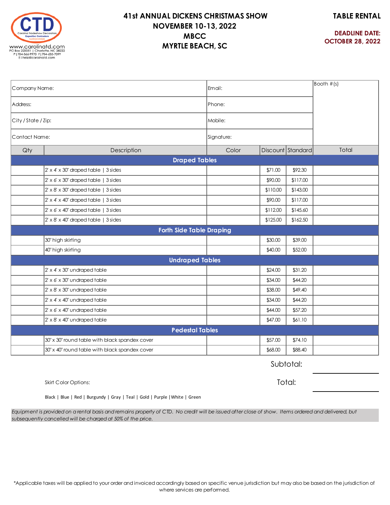**TABLE RENTAL**



## **41st ANNUAL DICKENS CHRISTMAS SHOW NOVEMBER 10-13, 2022 MBCC MYRTLE BEACH, SC**

**DEADLINE DATE: OCTOBER 28, 2022**

| Company Name:       |                                                  | Email:                          |          |                   | $\sqrt{300}$ Booth #(s) |
|---------------------|--------------------------------------------------|---------------------------------|----------|-------------------|-------------------------|
| Address:            |                                                  | Phone:                          |          |                   |                         |
| City / State / Zip: |                                                  | Mobile:                         |          |                   |                         |
| Contact Name:       |                                                  | Signature:                      |          |                   |                         |
| Qty                 | Description                                      | Color                           |          | Discount Standard | Total                   |
|                     |                                                  | <b>Draped Tables</b>            |          |                   |                         |
|                     | $2' \times 4' \times 30'$ draped table   3 sides |                                 | \$71.00  | \$92.30           |                         |
|                     | $2' \times 6' \times 30'$ draped table   3 sides |                                 | \$90.00  | \$117.00          |                         |
|                     | $2' \times 8' \times 30'$ draped table   3 sides |                                 | \$110.00 | \$143.00          |                         |
|                     | $2' \times 4' \times 40'$ draped table   3 sides |                                 | \$90.00  | \$117.00          |                         |
|                     | $2' \times 6' \times 40'$ draped table   3 sides |                                 | \$112.00 | \$145.60          |                         |
|                     | $2' \times 8' \times 40'$ draped table   3 sides |                                 | \$125.00 | \$162.50          |                         |
|                     |                                                  | <b>Forth Side Table Draping</b> |          |                   |                         |
|                     | 30" high skirting                                |                                 | \$30.00  | \$39.00           |                         |
|                     | 40" high skirting                                |                                 | \$40.00  | \$52.00           |                         |
|                     |                                                  | <b>Undraped Tables</b>          |          |                   |                         |
|                     | $2' \times 4' \times 30'$ undraped table         |                                 | \$24.00  | \$31.20           |                         |
|                     | $2' \times 6' \times 30'$ undraped table         |                                 | \$34.00  | \$44.20           |                         |
|                     | $2' \times 8' \times 30'$ undraped table         |                                 | \$38.00  | \$49.40           |                         |
|                     | 2' x 4' x 40' undraped table                     |                                 | \$34.00  | \$44.20           |                         |
|                     | $2' \times 6' \times 40'$ undraped table         |                                 | \$44.00  | \$57.20           |                         |
|                     | 2' x 8' x 40" undraped table                     |                                 | \$47.00  | \$61.10           |                         |
|                     |                                                  | <b>Pedestal Tables</b>          |          |                   |                         |
|                     | 30" x 30" round table with black spandex cover   |                                 | \$57.00  | \$74.10           |                         |
|                     | 30" x 40" round table with black spandex cover   |                                 | \$68.00  | \$88.40           |                         |

Subtotal:

Skirt Color Options:

Total:

Black | Blue | Red | Burgundy | Gray | Teal | Gold | Purple |White | Green

*Equipment is provided on a rental basis and remains property of CTD. No credit will be issued after close of show. Items ordered and delivered, but subsequently cancelled will be charged at 50% of the price.*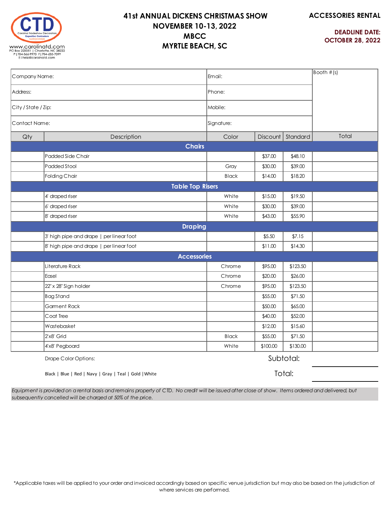

**ACCESSORIES RENTAL**

**DEADLINE DATE: OCTOBER 28, 2022**

| Company Name:                        |                                          | Email:                  |          | $\sqrt{300}$ Booth #(s) |       |
|--------------------------------------|------------------------------------------|-------------------------|----------|-------------------------|-------|
| Address:                             |                                          | Phone:                  |          |                         |       |
| City / State / Zip:<br>Contact Name: |                                          | Mobile:                 |          |                         |       |
|                                      |                                          | Signature:              |          |                         |       |
| Qty                                  | Description                              | Color                   | Discount | Standard                | Total |
|                                      |                                          | <b>Chairs</b>           |          |                         |       |
|                                      | Padded Side Chair                        |                         | \$37.00  | \$48.10                 |       |
|                                      | Padded Stool                             | Gray                    | \$30.00  | \$39.00                 |       |
|                                      | Folding Chair                            | <b>Black</b>            | \$14.00  | \$18.20                 |       |
|                                      |                                          | <b>Table Top Risers</b> |          |                         |       |
|                                      | 4' draped riser                          | White                   | \$15.00  | \$19.50                 |       |
|                                      | 6' draped riser                          | White                   | \$30.00  | \$39.00                 |       |
|                                      | 8' draped riser                          | White                   | \$43.00  | \$55.90                 |       |
|                                      |                                          | <b>Draping</b>          |          |                         |       |
|                                      | 3' high pipe and drape   per linear foot |                         | \$5.50   | \$7.15                  |       |
|                                      | 8' high pipe and drape   per linear foot |                         | \$11.00  | \$14.30                 |       |
|                                      |                                          | <b>Accessories</b>      |          |                         |       |
|                                      | Literature Rack                          | Chrome                  | \$95.00  | \$123.50                |       |
|                                      | Easel                                    | Chrome                  | \$20.00  | \$26.00                 |       |
|                                      | 22" x 28" Sign holder                    | Chrome                  | \$95.00  | \$123.50                |       |
|                                      | Bag Stand                                |                         | \$55.00  | \$71.50                 |       |
|                                      | <b>Garment Rack</b>                      |                         | \$50.00  | \$65.00                 |       |
|                                      | Coat Tree                                |                         | \$40.00  | \$52.00                 |       |
|                                      | Wastebasket                              |                         | \$12.00  | \$15.60                 |       |
|                                      | 2'x8' Grid                               | <b>Black</b>            | \$55.00  | \$71.50                 |       |
|                                      | 4'x8' Pegboard                           | White                   | \$100.00 | \$130.00                |       |
|                                      | Drape Color Options:                     |                         |          | Subtotal:               |       |

Drape Color Options:

Black | Blue | Red | Navy | Gray | Teal | Gold |White

Total:

*Equipment is provided on a rental basis and remains property of CTD. No credit will be issued after close of show. Items ordered and delivered, but subsequently cancelled will be charged at 50% of the price.*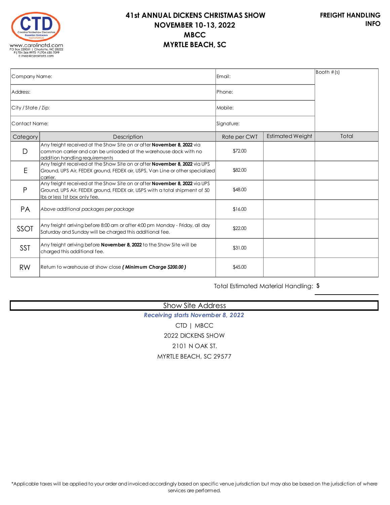

| Company Name:       |                                                                                                                                                                                           | lEmail:        | $\vert$ Booth $\#$ (s)  |       |
|---------------------|-------------------------------------------------------------------------------------------------------------------------------------------------------------------------------------------|----------------|-------------------------|-------|
| Address:            |                                                                                                                                                                                           | <b>IPhone:</b> |                         |       |
| City / State / Zip: |                                                                                                                                                                                           | Mobile:        |                         |       |
| Contact Name:       |                                                                                                                                                                                           | Signature:     |                         |       |
| Category            | Description                                                                                                                                                                               | Rate per CWT   | <b>Estimated Weight</b> | Total |
| D                   | Any freight received at the Show Site on or after <b>November 8, 2022</b> via<br>common carrier and can be unloaded at the warehouse dock with no<br>addition handling requirements       | \$72.00        |                         |       |
| E                   | Any freight received at the Show Site on or after <b>November 8, 2022</b> via UPS<br>Ground, UPS Air, FEDEX ground, FEDEX air, USPS, Van Line or other specialized<br>camer.              | \$82.00        |                         |       |
| P                   | Any freight received at the Show Site on or after November 8, 2022 via UPS<br>Ground, UPS Air, FEDEX ground, FEDEX air, USPS with a total shipment of 50<br>Ibs or less 1st box only fee. | \$48.00        |                         |       |
| <b>PA</b>           | Above additional packages per package                                                                                                                                                     | \$16.00        |                         |       |
| SSOT                | Any freight arriving before 8:00 am or after 4:00 pm Monday - Friday, all day<br>Saturday and Sunday will be charged this additional fee.                                                 | \$22.00        |                         |       |
| <b>SST</b>          | Any freight arriving before <b>November 8, 2022</b> to the Show Site will be<br>charged this additional fee.                                                                              | \$31.00        |                         |       |
| <b>RW</b>           | Return to warehouse at show close (Minimum Charge \$200.00)                                                                                                                               | \$45.00        |                         |       |
|                     |                                                                                                                                                                                           |                |                         |       |

Total Estimated Material Handling: **\$**

## Show Site Address

*Receiving starts November 8, 2022* CTD | MBCC 2022 DICKENS SHOW 2101 N OAK ST. MYRTLE BEACH, SC 29577